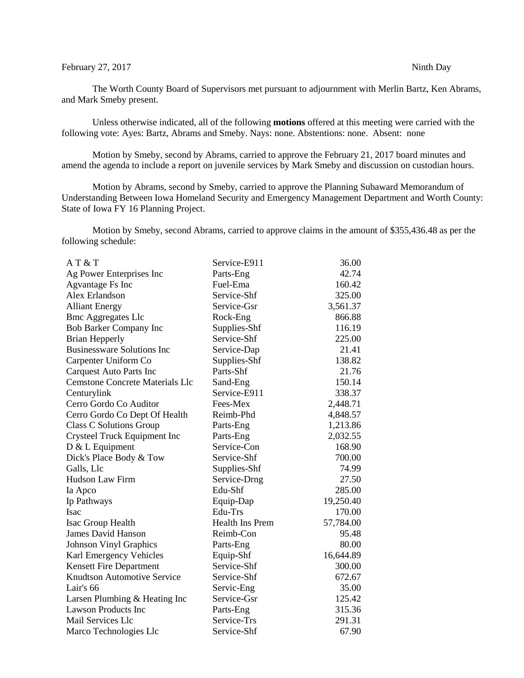## February 27, 2017 Ninth Day

The Worth County Board of Supervisors met pursuant to adjournment with Merlin Bartz, Ken Abrams, and Mark Smeby present.

Unless otherwise indicated, all of the following **motions** offered at this meeting were carried with the following vote: Ayes: Bartz, Abrams and Smeby. Nays: none. Abstentions: none. Absent: none

Motion by Smeby, second by Abrams, carried to approve the February 21, 2017 board minutes and amend the agenda to include a report on juvenile services by Mark Smeby and discussion on custodian hours.

Motion by Abrams, second by Smeby, carried to approve the Planning Subaward Memorandum of Understanding Between Iowa Homeland Security and Emergency Management Department and Worth County: State of Iowa FY 16 Planning Project.

Motion by Smeby, second Abrams, carried to approve claims in the amount of \$355,436.48 as per the following schedule:

| A T & T                                | Service-E911           | 36.00     |
|----------------------------------------|------------------------|-----------|
| Ag Power Enterprises Inc               | Parts-Eng              | 42.74     |
| Agvantage Fs Inc                       | Fuel-Ema               | 160.42    |
| Alex Erlandson                         | Service-Shf            | 325.00    |
| <b>Alliant Energy</b>                  | Service-Gsr            | 3,561.37  |
| <b>Bmc Aggregates Llc</b>              | Rock-Eng               | 866.88    |
| <b>Bob Barker Company Inc</b>          | Supplies-Shf           | 116.19    |
| <b>Brian Hepperly</b>                  | Service-Shf            | 225.00    |
| <b>Businessware Solutions Inc</b>      | Service-Dap            | 21.41     |
| Carpenter Uniform Co                   | Supplies-Shf           | 138.82    |
| <b>Carquest Auto Parts Inc</b>         | Parts-Shf              | 21.76     |
| <b>Cemstone Concrete Materials Llc</b> | Sand-Eng               | 150.14    |
| Centurylink                            | Service-E911           | 338.37    |
| Cerro Gordo Co Auditor                 | Fees-Mex               | 2,448.71  |
| Cerro Gordo Co Dept Of Health          | Reimb-Phd              | 4,848.57  |
| Class C Solutions Group                | Parts-Eng              | 1,213.86  |
| Crysteel Truck Equipment Inc           | Parts-Eng              | 2,032.55  |
| $D & L$ Equipment                      | Service-Con            | 168.90    |
| Dick's Place Body & Tow                | Service-Shf            | 700.00    |
| Galls, Llc                             | Supplies-Shf           | 74.99     |
| <b>Hudson Law Firm</b>                 | Service-Drng           | 27.50     |
| Ia Apco                                | Edu-Shf                | 285.00    |
| Ip Pathways                            | Equip-Dap              | 19,250.40 |
| Isac                                   | Edu-Trs                | 170.00    |
| Isac Group Health                      | <b>Health Ins Prem</b> | 57,784.00 |
| <b>James David Hanson</b>              | Reimb-Con              | 95.48     |
| <b>Johnson Vinyl Graphics</b>          | Parts-Eng              | 80.00     |
| Karl Emergency Vehicles                | Equip-Shf              | 16,644.89 |
| <b>Kensett Fire Department</b>         | Service-Shf            | 300.00    |
| <b>Knudtson Automotive Service</b>     | Service-Shf            | 672.67    |
| Lair's 66                              | Servic-Eng             | 35.00     |
| Larsen Plumbing & Heating Inc          | Service-Gsr            | 125.42    |
| <b>Lawson Products Inc</b>             | Parts-Eng              | 315.36    |
| Mail Services Llc                      | Service-Trs            | 291.31    |
| Marco Technologies Llc                 | Service-Shf            | 67.90     |